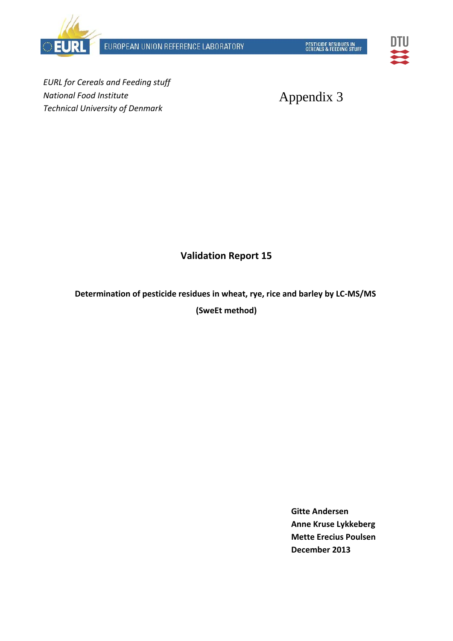



*EURL for Cereals and Feeding stuff National Food Institute Technical University of Denmark*

Appendix 3

## **Validation Report 15**

**Determination of pesticide residues in wheat, rye, rice and barley by LC-MS/MS (SweEt method)**

> **Gitte Andersen Anne Kruse Lykkeberg Mette Erecius Poulsen December 2013**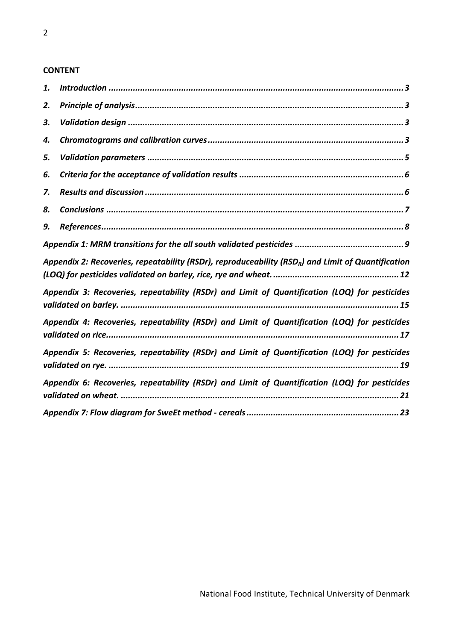#### **CONTENT**

| 1. |                                                                                                                |
|----|----------------------------------------------------------------------------------------------------------------|
| 2. |                                                                                                                |
| 3. |                                                                                                                |
| 4. |                                                                                                                |
| 5. |                                                                                                                |
| 6. |                                                                                                                |
| 7. |                                                                                                                |
| 8. |                                                                                                                |
| 9. |                                                                                                                |
|    |                                                                                                                |
|    | Appendix 2: Recoveries, repeatability (RSDr), reproduceability (RSD <sub>R</sub> ) and Limit of Quantification |
|    | Appendix 3: Recoveries, repeatability (RSDr) and Limit of Quantification (LOQ) for pesticides                  |
|    | Appendix 4: Recoveries, repeatability (RSDr) and Limit of Quantification (LOQ) for pesticides                  |
|    | Appendix 5: Recoveries, repeatability (RSDr) and Limit of Quantification (LOQ) for pesticides                  |
|    | Appendix 6: Recoveries, repeatability (RSDr) and Limit of Quantification (LOQ) for pesticides                  |
|    |                                                                                                                |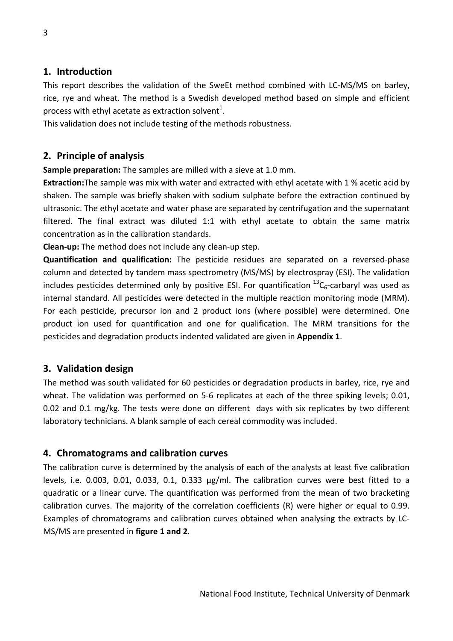### **1. Introduction**

This report describes the validation of the SweEt method combined with LC‐MS/MS on barley, rice, rye and wheat. The method is a Swedish developed method based on simple and efficient process with ethyl acetate as extraction solvent $^{1}$ .

This validation does not include testing of the methods robustness.

## **2. Principle of analysis**

**Sample preparation:** The samples are milled with a sieve at 1.0 mm.

**Extraction:**The sample was mix with water and extracted with ethyl acetate with 1 % acetic acid by shaken. The sample was briefly shaken with sodium sulphate before the extraction continued by ultrasonic. The ethyl acetate and water phase are separated by centrifugation and the supernatant filtered. The final extract was diluted 1:1 with ethyl acetate to obtain the same matrix concentration as in the calibration standards.

**Clean‐up:** The method does not include any clean‐up step.

**Quantification and qualification:** The pesticide residues are separated on a reversed‐phase column and detected by tandem mass spectrometry (MS/MS) by electrospray (ESI). The validation includes pesticides determined only by positive ESI. For quantification  ${}^{13}C_6$ -carbaryl was used as internal standard. All pesticides were detected in the multiple reaction monitoring mode (MRM). For each pesticide, precursor ion and 2 product ions (where possible) were determined. One product ion used for quantification and one for qualification. The MRM transitions for the pesticides and degradation products indented validated are given in **Appendix 1**.

## **3. Validation design**

The method was south validated for 60 pesticides or degradation products in barley, rice, rye and wheat. The validation was performed on 5-6 replicates at each of the three spiking levels; 0.01, 0.02 and 0.1 mg/kg. The tests were done on different days with six replicates by two different laboratory technicians. A blank sample of each cereal commodity was included.

### **4. Chromatograms and calibration curves**

The calibration curve is determined by the analysis of each of the analysts at least five calibration levels, i.e. 0.003, 0.01, 0.033, 0.1, 0.333 µg/ml. The calibration curves were best fitted to a quadratic or a linear curve. The quantification was performed from the mean of two bracketing calibration curves. The majority of the correlation coefficients (R) were higher or equal to 0.99. Examples of chromatograms and calibration curves obtained when analysing the extracts by LC‐ MS/MS are presented in **figure 1 and 2**.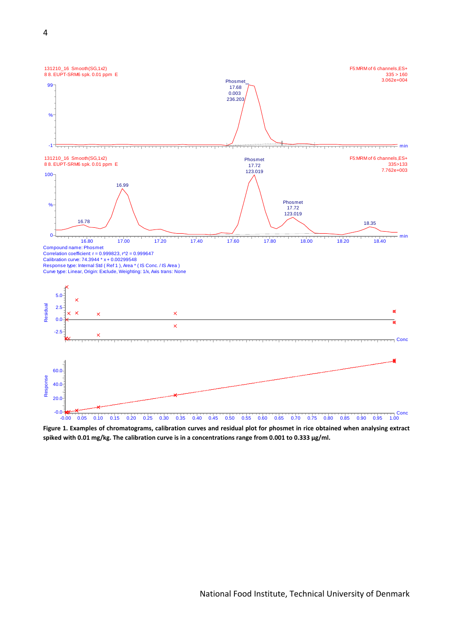

Figure 1. Examples of chromatograms, calibration curves and residual plot for phosmet in rice obtained when analysing extract spiked with 0.01 mg/kg. The calibration curve is in a concentrations range from 0.001 to 0.333 µg/ml.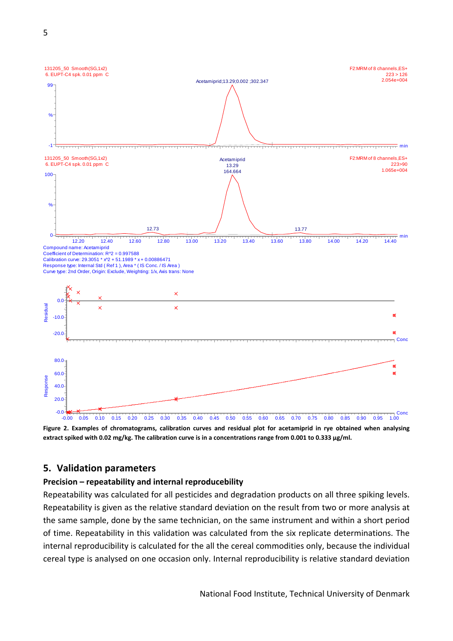

Figure 2. Examples of chromatograms, calibration curves and residual plot for acetamiprid in rye obtained when analysing extract spiked with 0.02 mg/kg. The calibration curve is in a concentrations range from 0.001 to 0.333 µg/ml.

#### **5. Validation parameters**

#### **Precision – repeatability and internal reproducebility**

Repeatability was calculated for all pesticides and degradation products on all three spiking levels. Repeatability is given as the relative standard deviation on the result from two or more analysis at the same sample, done by the same technician, on the same instrument and within a short period of time. Repeatability in this validation was calculated from the six replicate determinations. The internal reproducibility is calculated for the all the cereal commodities only, because the individual cereal type is analysed on one occasion only. Internal reproducibility is relative standard deviation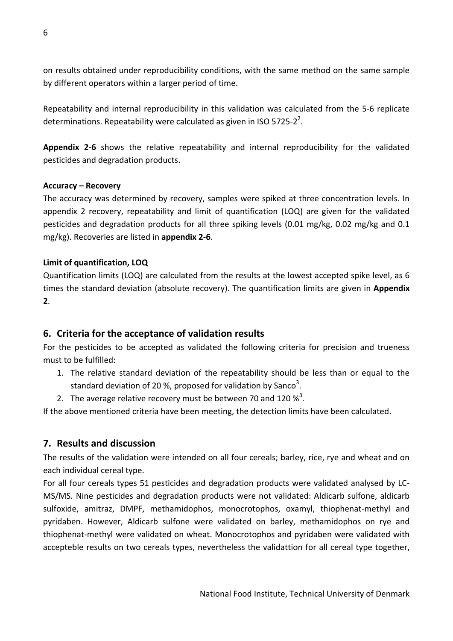on results obtained under reproducibility conditions, with the same method on the same sample by different operators within a larger period of time.

Repeatability and internal reproducibility in this validation was calculated from the 5‐6 replicate determinations. Repeatability were calculated as given in ISO 5725-2<sup>2</sup>.

**Appendix 2‐6** shows the relative repeatability and internal reproducibility for the validated pesticides and degradation products.

### **Accuracy – Recovery**

The accuracy was determined by recovery, samples were spiked at three concentration levels. In appendix 2 recovery, repeatability and limit of quantification (LOQ) are given for the validated pesticides and degradation products for all three spiking levels (0.01 mg/kg, 0.02 mg/kg and 0.1 mg/kg). Recoveries are listed in **appendix 2‐6**.

#### **Limit of quantification, LOQ**

Quantification limits (LOQ) are calculated from the results at the lowest accepted spike level, as 6 times the standard deviation (absolute recovery). The quantification limits are given in **Appendix 2**.

## **6. Criteria for the acceptance of validation results**

For the pesticides to be accepted as validated the following criteria for precision and trueness must to be fulfilled:

- 1. The relative standard deviation of the repeatability should be less than or equal to the standard deviation of 20 %, proposed for validation by Sanco<sup>3</sup>.
- 2. The average relative recovery must be between 70 and 120  $\frac{\cancel{3}^3}{ }$ .

If the above mentioned criteria have been meeting, the detection limits have been calculated.

## **7. Results and discussion**

The results of the validation were intended on all four cereals; barley, rice, rye and wheat and on each individual cereal type.

For all four cereals types 51 pesticides and degradation products were validated analysed by LC‐ MS/MS. Nine pesticides and degradation products were not validated: Aldicarb sulfone, aldicarb sulfoxide, amitraz, DMPF, methamidophos, monocrotophos, oxamyl, thiophenat-methyl and pyridaben. However, Aldicarb sulfone were validated on barley, methamidophos on rye and thiophenat‐methyl were validated on wheat. Monocrotophos and pyridaben were validated with accepteble results on two cereals types, nevertheless the validattion for all cereal type together,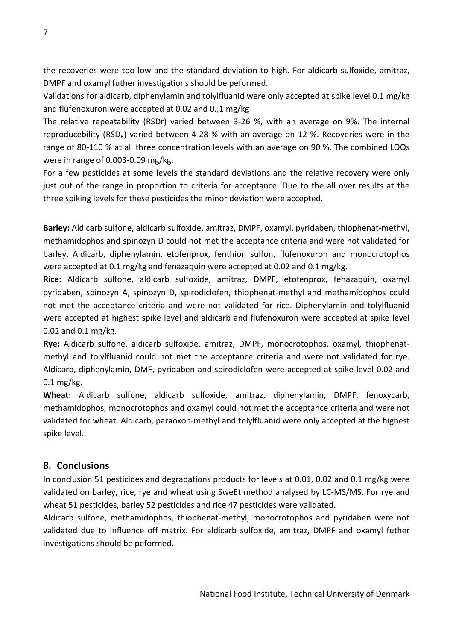the recoveries were too low and the standard deviation to high. For aldicarb sulfoxide, amitraz, DMPF and oxamyl futher investigations should be peformed.

Validations for aldicarb, diphenylamin and tolylfluanid were only accepted at spike level 0.1 mg/kg and flufenoxuron were accepted at 0.02 and 0.,1 mg/kg

The relative repeatability (RSDr) varied between 3‐26 %, with an average on 9%. The internal reproducebility (RSD<sub>R</sub>) varied between 4-28 % with an average on 12 %. Recoveries were in the range of 80‐110 % at all three concentration levels with an average on 90 %. The combined LOQs were in range of 0.003‐0.09 mg/kg.

For a few pesticides at some levels the standard deviations and the relative recovery were only just out of the range in proportion to criteria for acceptance. Due to the all over results at the three spiking levels for these pesticides the minor deviation were accepted.

**Barley:** Aldicarb sulfone, aldicarb sulfoxide, amitraz, DMPF, oxamyl, pyridaben, thiophenat‐methyl, methamidophos and spinozyn D could not met the acceptance criteria and were not validated for barley. Aldicarb, diphenylamin, etofenprox, fenthion sulfon, flufenoxuron and monocrotophos were accepted at 0.1 mg/kg and fenazaquin were accepted at 0.02 and 0.1 mg/kg.

**Rice:** Aldicarb sulfone, aldicarb sulfoxide, amitraz, DMPF, etofenprox, fenazaquin, oxamyl pyridaben, spinozyn A, spinozyn D, spirodiclofen, thiophenat‐methyl and methamidophos could not met the acceptance criteria and were not validated for rice. Diphenylamin and tolylfluanid were accepted at highest spike level and aldicarb and flufenoxuron were accepted at spike level 0.02 and 0.1 mg/kg.

**Rye:** Aldicarb sulfone, aldicarb sulfoxide, amitraz, DMPF, monocrotophos, oxamyl, thiophenat‐ methyl and tolylfluanid could not met the acceptance criteria and were not validated for rye. Aldicarb, diphenylamin, DMF, pyridaben and spirodiclofen were accepted at spike level 0.02 and 0.1 mg/kg.

**Wheat:** Aldicarb sulfone, aldicarb sulfoxide, amitraz, diphenylamin, DMPF, fenoxycarb, methamidophos, monocrotophos and oxamyl could not met the acceptance criteria and were not validated for wheat. Aldicarb, paraoxon‐methyl and tolylfluanid were only accepted at the highest spike level.

## **8. Conclusions**

In conclusion 51 pesticides and degradations products for levels at 0.01, 0.02 and 0.1 mg/kg were validated on barley, rice, rye and wheat using SweEt method analysed by LC‐MS/MS. For rye and wheat 51 pesticides, barley 52 pesticides and rice 47 pesticides were validated.

Aldicarb sulfone, methamidophos, thiophenat‐methyl, monocrotophos and pyridaben were not validated due to influence off matrix. For aldicarb sulfoxide, amitraz, DMPF and oxamyl futher investigations should be peformed.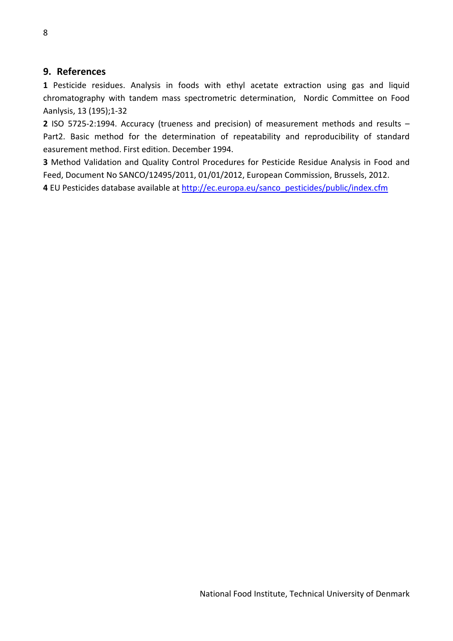### **9. References**

**1** Pesticide residues. Analysis in foods with ethyl acetate extraction using gas and liquid chromatography with tandem mass spectrometric determination, Nordic Committee on Food Aanlysis, 13 (195);1‐32

**2** ISO 5725‐2:1994. Accuracy (trueness and precision) of measurement methods and results – Part2. Basic method for the determination of repeatability and reproducibility of standard easurement method. First edition. December 1994.

**3** Method Validation and Quality Control Procedures for Pesticide Residue Analysis in Food and Feed, Document No SANCO/12495/2011, 01/01/2012, European Commission, Brussels, 2012.

**4** EU Pesticides database available at http://ec.europa.eu/sanco\_pesticides/public/index.cfm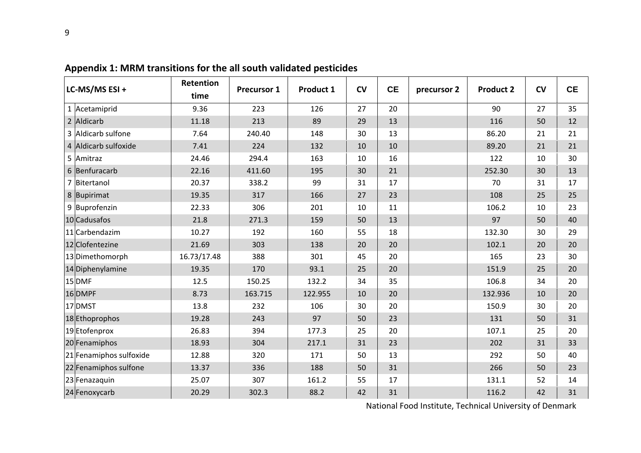| LC-MS/MS ESI +          | Retention   | <b>Precursor 1</b> | Product 1 | CV | <b>CE</b> | precursor 2 | <b>Product 2</b> | CV | <b>CE</b> |
|-------------------------|-------------|--------------------|-----------|----|-----------|-------------|------------------|----|-----------|
|                         | time        |                    |           |    |           |             |                  |    |           |
| 1 Acetamiprid           | 9.36        | 223                | 126       | 27 | 20        |             | 90               | 27 | 35        |
| 2 Aldicarb              | 11.18       | 213                | 89        | 29 | 13        |             | 116              | 50 | 12        |
| 3 Aldicarb sulfone      | 7.64        | 240.40             | 148       | 30 | 13        |             | 86.20            | 21 | 21        |
| 4 Aldicarb sulfoxide    | 7.41        | 224                | 132       | 10 | 10        |             | 89.20            | 21 | 21        |
| 5 Amitraz               | 24.46       | 294.4              | 163       | 10 | 16        |             | 122              | 10 | 30        |
| 6 Benfuracarb           | 22.16       | 411.60             | 195       | 30 | 21        |             | 252.30           | 30 | 13        |
| 7 Bitertanol            | 20.37       | 338.2              | 99        | 31 | 17        |             | 70               | 31 | 17        |
| 8 Bupirimat             | 19.35       | 317                | 166       | 27 | 23        |             | 108              | 25 | 25        |
| 9 Buprofenzin           | 22.33       | 306                | 201       | 10 | 11        |             | 106.2            | 10 | 23        |
| 10 Cadusafos            | 21.8        | 271.3              | 159       | 50 | 13        |             | 97               | 50 | 40        |
| 11 Carbendazim          | 10.27       | 192                | 160       | 55 | 18        |             | 132.30           | 30 | 29        |
| 12 Clofentezine         | 21.69       | 303                | 138       | 20 | 20        |             | 102.1            | 20 | 20        |
| 13Dimethomorph          | 16.73/17.48 | 388                | 301       | 45 | 20        |             | 165              | 23 | 30        |
| 14 Diphenylamine        | 19.35       | 170                | 93.1      | 25 | 20        |             | 151.9            | 25 | 20        |
| 15DMF                   | 12.5        | 150.25             | 132.2     | 34 | 35        |             | 106.8            | 34 | 20        |
| 16 DMPF                 | 8.73        | 163.715            | 122.955   | 10 | 20        |             | 132.936          | 10 | 20        |
| 17 DMST                 | 13.8        | 232                | 106       | 30 | 20        |             | 150.9            | 30 | 20        |
| 18 Ethoprophos          | 19.28       | 243                | 97        | 50 | 23        |             | 131              | 50 | 31        |
| 19 Etofenprox           | 26.83       | 394                | 177.3     | 25 | 20        |             | 107.1            | 25 | 20        |
| 20 Fenamiphos           | 18.93       | 304                | 217.1     | 31 | 23        |             | 202              | 31 | 33        |
| 21 Fenamiphos sulfoxide | 12.88       | 320                | 171       | 50 | 13        |             | 292              | 50 | 40        |
| 22 Fenamiphos sulfone   | 13.37       | 336                | 188       | 50 | 31        |             | 266              | 50 | 23        |
| 23 Fenazaquin           | 25.07       | 307                | 161.2     | 55 | 17        |             | 131.1            | 52 | 14        |
| 24 Fenoxycarb           | 20.29       | 302.3              | 88.2      | 42 | 31        |             | 116.2            | 42 | 31        |

**Appendix 1: MRM transitions for the all south validated pesticides**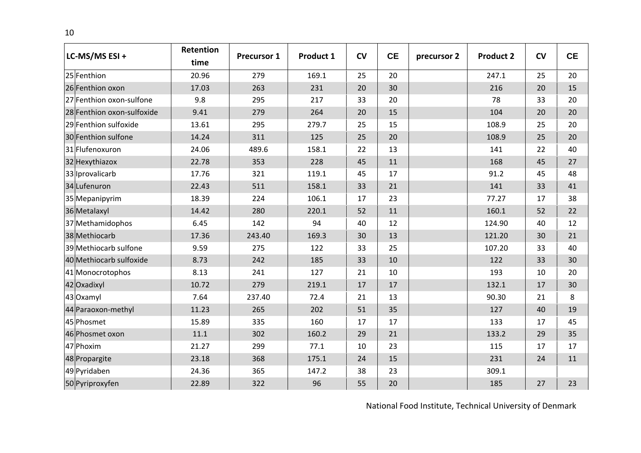| LC-MS/MS ESI+              | Retention<br>time | <b>Precursor 1</b> | Product 1 | CV | <b>CE</b> | precursor 2 | <b>Product 2</b> | CV | <b>CE</b> |
|----------------------------|-------------------|--------------------|-----------|----|-----------|-------------|------------------|----|-----------|
| 25 Fenthion                | 20.96             | 279                | 169.1     | 25 | 20        |             | 247.1            | 25 | 20        |
| 26 Fenthion oxon           | 17.03             | 263                | 231       | 20 | 30        |             | 216              | 20 | 15        |
| 27 Fenthion oxon-sulfone   | 9.8               | 295                | 217       | 33 | 20        |             | 78               | 33 | 20        |
| 28 Fenthion oxon-sulfoxide | 9.41              | 279                | 264       | 20 | 15        |             | 104              | 20 | 20        |
| 29 Fenthion sulfoxide      | 13.61             | 295                | 279.7     | 25 | 15        |             | 108.9            | 25 | 20        |
| 30 Fenthion sulfone        | 14.24             | 311                | 125       | 25 | 20        |             | 108.9            | 25 | 20        |
| 31 Flufenoxuron            | 24.06             | 489.6              | 158.1     | 22 | 13        |             | 141              | 22 | 40        |
| 32 Hexythiazox             | 22.78             | 353                | 228       | 45 | 11        |             | 168              | 45 | 27        |
| 33 Iprovalicarb            | 17.76             | 321                | 119.1     | 45 | 17        |             | 91.2             | 45 | 48        |
| 34 Lufenuron               | 22.43             | 511                | 158.1     | 33 | 21        |             | 141              | 33 | 41        |
| 35 Mepanipyrim             | 18.39             | 224                | 106.1     | 17 | 23        |             | 77.27            | 17 | 38        |
| 36 Metalaxyl               | 14.42             | 280                | 220.1     | 52 | 11        |             | 160.1            | 52 | 22        |
| 37 Methamidophos           | 6.45              | 142                | 94        | 40 | 12        |             | 124.90           | 40 | 12        |
| 38 Methiocarb              | 17.36             | 243.40             | 169.3     | 30 | 13        |             | 121.20           | 30 | 21        |
| 39 Methiocarb sulfone      | 9.59              | 275                | 122       | 33 | 25        |             | 107.20           | 33 | 40        |
| 40 Methiocarb sulfoxide    | 8.73              | 242                | 185       | 33 | 10        |             | 122              | 33 | 30        |
| 41 Monocrotophos           | 8.13              | 241                | 127       | 21 | 10        |             | 193              | 10 | 20        |
| 42 Oxadixyl                | 10.72             | 279                | 219.1     | 17 | 17        |             | 132.1            | 17 | 30        |
| 43 Oxamyl                  | 7.64              | 237.40             | 72.4      | 21 | 13        |             | 90.30            | 21 | 8         |
| 44 Paraoxon-methyl         | 11.23             | 265                | 202       | 51 | 35        |             | 127              | 40 | 19        |
| 45 Phosmet                 | 15.89             | 335                | 160       | 17 | 17        |             | 133              | 17 | 45        |
| 46 Phosmet oxon            | 11.1              | 302                | 160.2     | 29 | 21        |             | 133.2            | 29 | 35        |
| 47 Phoxim                  | 21.27             | 299                | 77.1      | 10 | 23        |             | 115              | 17 | 17        |
| 48 Propargite              | 23.18             | 368                | 175.1     | 24 | 15        |             | 231              | 24 | 11        |
| 49 Pyridaben               | 24.36             | 365                | 147.2     | 38 | 23        |             | 309.1            |    |           |
| 50 Pyriproxyfen            | 22.89             | 322                | 96        | 55 | 20        |             | 185              | 27 | 23        |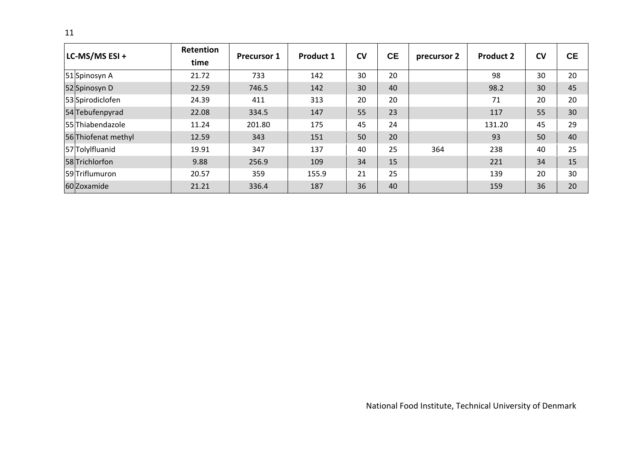| LC-MS/MS ESI +      | Retention<br>time | <b>Precursor 1</b> | <b>Product 1</b> | <b>CV</b> | <b>CE</b> | precursor 2 | <b>Product 2</b> | <b>CV</b> | <b>CE</b> |
|---------------------|-------------------|--------------------|------------------|-----------|-----------|-------------|------------------|-----------|-----------|
| 51 Spinosyn A       | 21.72             | 733                | 142              | 30        | 20        |             | 98               | 30        | 20        |
| 52 Spinosyn D       | 22.59             | 746.5              | 142              | 30        | 40        |             | 98.2             | 30        | 45        |
| 53 Spirodiclofen    | 24.39             | 411                | 313              | 20        | 20        |             | 71               | 20        | 20        |
| 54 Tebufenpyrad     | 22.08             | 334.5              | 147              | 55        | 23        |             | 117              | 55        | 30        |
| 55 Thiabendazole    | 11.24             | 201.80             | 175              | 45        | 24        |             | 131.20           | 45        | 29        |
| 56 Thiofenat methyl | 12.59             | 343                | 151              | 50        | 20        |             | 93               | 50        | 40        |
| 57 Tolylfluanid     | 19.91             | 347                | 137              | 40        | 25        | 364         | 238              | 40        | 25        |
| 58 Trichlorfon      | 9.88              | 256.9              | 109              | 34        | 15        |             | 221              | 34        | 15        |
| 59Triflumuron       | 20.57             | 359                | 155.9            | 21        | 25        |             | 139              | 20        | 30        |
| 60 Zoxamide         | 21.21             | 336.4              | 187              | 36        | 40        |             | 159              | 36        | 20        |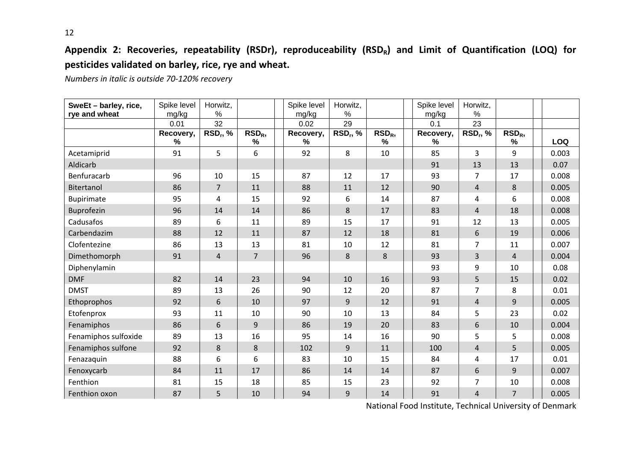# **Appendix 2: Recoveries, repeatability (RSDr), reproduceability (RSDR) and Limit of Quantification (LOQ) for pesticides validated on barley, rice, rye and wheat.**

*Numbers in italic is outside 70‐120% recovery*

| SweEt - barley, rice,<br>rye and wheat | Spike level<br>mg/kg | Horwitz,<br>$\%$           |                       | Spike level<br>mg/kg | Horwitz,<br>$\%$           |                          | Spike level<br>mg/kg | Horwitz,<br>%  |                       |            |
|----------------------------------------|----------------------|----------------------------|-----------------------|----------------------|----------------------------|--------------------------|----------------------|----------------|-----------------------|------------|
|                                        | 0.01                 | 32                         |                       | 0.02                 | 29                         |                          | 0.1                  | 23             |                       |            |
|                                        | Recovery,<br>%       | <b>RSD<sub>r</sub></b> , % | RSD <sub>R</sub><br>% | Recovery,<br>%       | <b>RSD<sub>r</sub></b> , % | RSD <sub>R</sub><br>$\%$ | Recovery,<br>%       | $RSD_r, %$     | RSD <sub>R</sub><br>% | <b>LOQ</b> |
| Acetamiprid                            | 91                   | 5                          | 6                     | 92                   | 8                          | 10                       | 85                   | 3              | 9                     | 0.003      |
| Aldicarb                               |                      |                            |                       |                      |                            |                          | 91                   | 13             | 13                    | 0.07       |
| Benfuracarb                            | 96                   | 10                         | 15                    | 87                   | 12                         | 17                       | 93                   | $\overline{7}$ | 17                    | 0.008      |
| Bitertanol                             | 86                   | $\overline{7}$             | 11                    | 88                   | 11                         | 12                       | 90                   | $\overline{4}$ | 8                     | 0.005      |
| <b>Bupirimate</b>                      | 95                   | 4                          | 15                    | 92                   | 6                          | 14                       | 87                   | 4              | 6                     | 0.008      |
| Buprofezin                             | 96                   | 14                         | 14                    | 86                   | 8                          | 17                       | 83                   | $\overline{4}$ | 18                    | 0.008      |
| Cadusafos                              | 89                   | 6                          | 11                    | 89                   | 15                         | 17                       | 91                   | 12             | 13                    | 0.005      |
| Carbendazim                            | 88                   | 12                         | 11                    | 87                   | 12                         | 18                       | 81                   | 6              | 19                    | 0.006      |
| Clofentezine                           | 86                   | 13                         | 13                    | 81                   | 10                         | 12                       | 81                   | $\overline{7}$ | 11                    | 0.007      |
| Dimethomorph                           | 91                   | $\overline{4}$             | $\overline{7}$        | 96                   | 8                          | 8                        | 93                   | 3              | $\overline{4}$        | 0.004      |
| Diphenylamin                           |                      |                            |                       |                      |                            |                          | 93                   | 9              | 10                    | 0.08       |
| <b>DMF</b>                             | 82                   | 14                         | 23                    | 94                   | 10                         | 16                       | 93                   | 5              | 15                    | 0.02       |
| <b>DMST</b>                            | 89                   | 13                         | 26                    | 90                   | 12                         | 20                       | 87                   | 7              | 8                     | 0.01       |
| Ethoprophos                            | 92                   | 6                          | 10                    | 97                   | 9                          | 12                       | 91                   | $\overline{4}$ | 9                     | 0.005      |
| Etofenprox                             | 93                   | 11                         | 10                    | 90                   | 10                         | 13                       | 84                   | 5              | 23                    | 0.02       |
| Fenamiphos                             | 86                   | 6                          | 9                     | 86                   | 19                         | 20                       | 83                   | 6              | 10                    | 0.004      |
| Fenamiphos sulfoxide                   | 89                   | 13                         | 16                    | 95                   | 14                         | 16                       | 90                   | 5              | 5                     | 0.008      |
| Fenamiphos sulfone                     | 92                   | 8                          | 8                     | 102                  | 9                          | 11                       | 100                  | $\overline{4}$ | 5                     | 0.005      |
| Fenazaquin                             | 88                   | 6                          | 6                     | 83                   | 10                         | 15                       | 84                   | 4              | 17                    | 0.01       |
| Fenoxycarb                             | 84                   | 11                         | 17                    | 86                   | 14                         | 14                       | 87                   | 6              | 9                     | 0.007      |
| Fenthion                               | 81                   | 15                         | 18                    | 85                   | 15                         | 23                       | 92                   | 7              | 10                    | 0.008      |
| Fenthion oxon                          | 87                   | 5                          | 10                    | 94                   | 9                          | 14                       | 91                   | 4              | $\overline{7}$        | 0.005      |

National Food Institute, Technical University of Denmark

12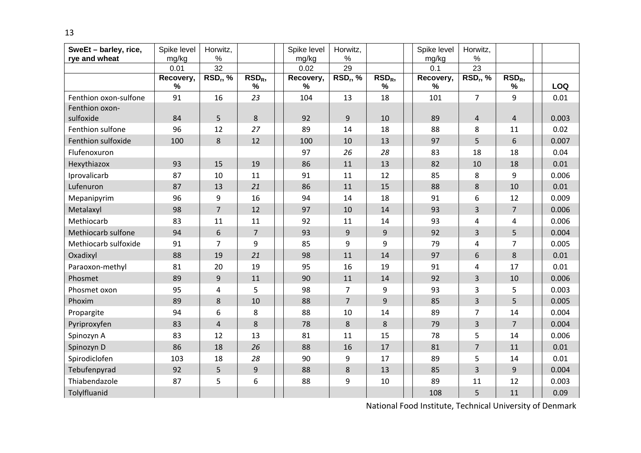| SweEt - barley, rice,<br>rye and wheat | Spike level<br>mg/kg | Horwitz,<br>$\%$ |                       | Spike level<br>mg/kg | Horwitz,<br>$\%$ |               | Spike level<br>mg/kg | Horwitz,<br>%  |                       |            |
|----------------------------------------|----------------------|------------------|-----------------------|----------------------|------------------|---------------|----------------------|----------------|-----------------------|------------|
|                                        | 0.01                 | 32               |                       | 0.02                 | 29               |               | 0.1                  | 23             |                       |            |
|                                        | Recovery,<br>$\%$    | $RSD_r$ , %      | RSD <sub>R</sub><br>% | Recovery,<br>%       | $RSD_r, %$       | $RSDR$ ,<br>% | Recovery,<br>%       | $RSD_r, %$     | RSD <sub>R</sub><br>% | <b>LOQ</b> |
| Fenthion oxon-sulfone                  | 91                   | 16               | 23                    | 104                  | 13               | 18            | 101                  | $\overline{7}$ | 9                     | 0.01       |
| Fenthion oxon-                         |                      |                  |                       |                      |                  |               |                      |                |                       |            |
| sulfoxide                              | 84                   | 5                | 8                     | 92                   | 9                | 10            | 89                   | $\overline{4}$ | $\overline{4}$        | 0.003      |
| Fenthion sulfone                       | 96                   | 12               | 27                    | 89                   | 14               | 18            | 88                   | 8              | 11                    | 0.02       |
| Fenthion sulfoxide                     | 100                  | 8                | 12                    | 100                  | 10               | 13            | 97                   | 5              | 6                     | 0.007      |
| Flufenoxuron                           |                      |                  |                       | 97                   | 26               | 28            | 83                   | 18             | 18                    | 0.04       |
| Hexythiazox                            | 93                   | 15               | 19                    | 86                   | 11               | 13            | 82                   | 10             | 18                    | 0.01       |
| Iprovalicarb                           | 87                   | 10               | 11                    | 91                   | 11               | 12            | 85                   | 8              | 9                     | 0.006      |
| Lufenuron                              | 87                   | 13               | 21                    | 86                   | 11               | 15            | 88                   | 8              | 10                    | 0.01       |
| Mepanipyrim                            | 96                   | 9                | 16                    | 94                   | 14               | 18            | 91                   | 6              | 12                    | 0.009      |
| Metalaxyl                              | 98                   | $\overline{7}$   | 12                    | 97                   | 10               | 14            | 93                   | 3              | 7                     | 0.006      |
| Methiocarb                             | 83                   | 11               | 11                    | 92                   | 11               | 14            | 93                   | 4              | 4                     | 0.006      |
| Methiocarb sulfone                     | 94                   | $6\,$            | $\overline{7}$        | 93                   | 9                | 9             | 92                   | 3              | 5                     | 0.004      |
| Methiocarb sulfoxide                   | 91                   | $\overline{7}$   | 9                     | 85                   | 9                | 9             | 79                   | 4              | 7                     | 0.005      |
| Oxadixyl                               | 88                   | 19               | 21                    | 98                   | 11               | 14            | 97                   | 6              | 8                     | 0.01       |
| Paraoxon-methyl                        | 81                   | 20               | 19                    | 95                   | 16               | 19            | 91                   | 4              | 17                    | 0.01       |
| Phosmet                                | 89                   | 9                | 11                    | 90                   | 11               | 14            | 92                   | 3              | 10                    | 0.006      |
| Phosmet oxon                           | 95                   | 4                | 5                     | 98                   | $\overline{7}$   | 9             | 93                   | 3              | 5                     | 0.003      |
| Phoxim                                 | 89                   | 8                | 10                    | 88                   | $\overline{7}$   | 9             | 85                   | $\overline{3}$ | 5                     | 0.005      |
| Propargite                             | 94                   | 6                | 8                     | 88                   | 10               | 14            | 89                   | $\overline{7}$ | 14                    | 0.004      |
| Pyriproxyfen                           | 83                   | $\overline{4}$   | 8                     | 78                   | 8                | 8             | 79                   | $\overline{3}$ | $\overline{7}$        | 0.004      |
| Spinozyn A                             | 83                   | 12               | 13                    | 81                   | 11               | 15            | 78                   | 5              | 14                    | 0.006      |
| Spinozyn D                             | 86                   | 18               | 26                    | 88                   | 16               | 17            | 81                   | $\overline{7}$ | 11                    | 0.01       |
| Spirodiclofen                          | 103                  | 18               | 28                    | 90                   | 9                | 17            | 89                   | 5              | 14                    | 0.01       |
| Tebufenpyrad                           | 92                   | 5                | 9                     | 88                   | $\,8\,$          | 13            | 85                   | 3              | 9                     | 0.004      |
| Thiabendazole                          | 87                   | 5                | 6                     | 88                   | 9                | 10            | 89                   | 11             | 12                    | 0.003      |
| Tolylfluanid                           |                      |                  |                       |                      |                  |               | 108                  | 5              | 11                    | 0.09       |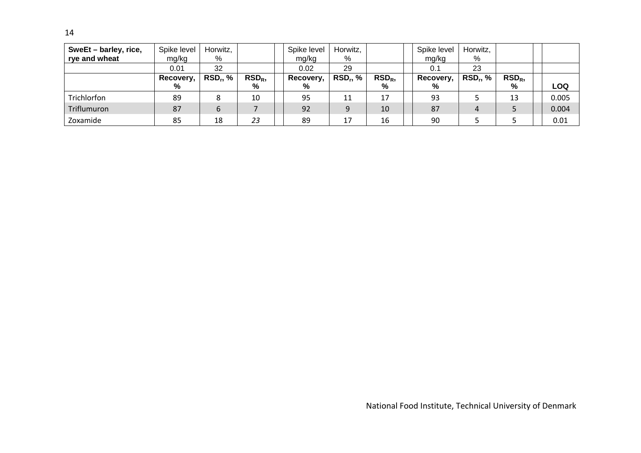| SweEt - barley, rice,<br>rye and wheat | Spike level<br>mg/kg | Horwitz,<br>% |                  | Spike level<br>mg/kg | Horwitz,<br>% |                  | Spike level<br>mg/kg | Horwitz,<br>% |                  |       |
|----------------------------------------|----------------------|---------------|------------------|----------------------|---------------|------------------|----------------------|---------------|------------------|-------|
|                                        | 0.01                 | 32            |                  | 0.02                 | 29            |                  | 0.1                  | 23            |                  |       |
|                                        | Recovery,            | <b>RSD, %</b> | RSD <sub>R</sub> | Recovery,            | $RSD_r, %$    | RSD <sub>R</sub> | Recovery,            | $RSD_r, %$    | RSD <sub>R</sub> |       |
|                                        | %                    |               | %                | %                    |               | %                | %                    |               | %                | LOQ   |
| Trichlorfon                            | 89                   | 8             | 10               | 95                   | 11            | 17               | 93                   |               | 13               | 0.005 |
| Triflumuron                            | 87                   | 6             |                  | 92                   | 9             | 10               | 87                   | 4             |                  | 0.004 |
| Zoxamide                               | 85                   | 18            | 23               | 89                   | 17            | 16               | 90                   |               |                  | 0.01  |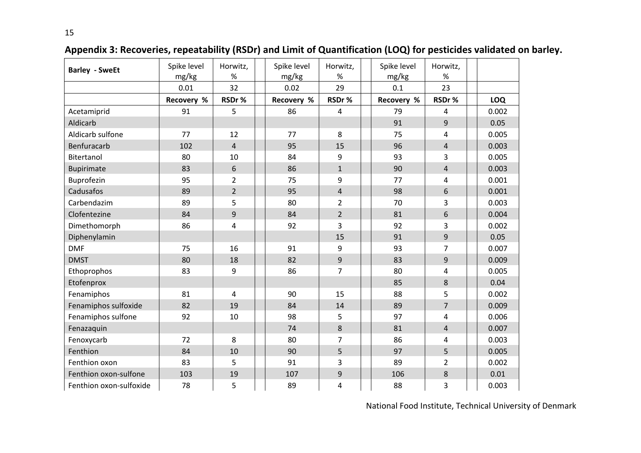| <b>Barley - SweEt</b>   | Spike level<br>mg/kg | Horwitz,<br>%  | Spike level<br>mg/kg | Horwitz,<br>$\%$ | Spike level<br>mg/kg | Horwitz,<br>$\%$ |       |
|-------------------------|----------------------|----------------|----------------------|------------------|----------------------|------------------|-------|
|                         | 0.01                 | 32             | 0.02                 | 29               | 0.1                  | 23               |       |
|                         | Recovery %           | RSDr%          | Recovery %           | RSDr%            | Recovery %           | RSDr%            | LOQ   |
| Acetamiprid             | 91                   | 5              | 86                   | $\overline{4}$   | 79                   | 4                | 0.002 |
| Aldicarb                |                      |                |                      |                  | 91                   | $\overline{9}$   | 0.05  |
| Aldicarb sulfone        | 77                   | 12             | 77                   | 8                | 75                   | 4                | 0.005 |
| Benfuracarb             | 102                  | $\overline{4}$ | 95                   | 15               | 96                   | $\overline{4}$   | 0.003 |
| Bitertanol              | 80                   | 10             | 84                   | 9                | 93                   | $\overline{3}$   | 0.005 |
| Bupirimate              | 83                   | 6              | 86                   | $\mathbf{1}$     | 90                   | $\overline{4}$   | 0.003 |
| Buprofezin              | 95                   | $\overline{2}$ | 75                   | 9                | 77                   | 4                | 0.001 |
| Cadusafos               | 89                   | $\overline{2}$ | 95                   | $\overline{4}$   | 98                   | 6                | 0.001 |
| Carbendazim             | 89                   | 5              | 80                   | $\overline{2}$   | 70                   | 3                | 0.003 |
| Clofentezine            | 84                   | 9              | 84                   | $\overline{2}$   | 81                   | 6                | 0.004 |
| Dimethomorph            | 86                   | 4              | 92                   | 3                | 92                   | 3                | 0.002 |
| Diphenylamin            |                      |                |                      | 15               | 91                   | $\overline{9}$   | 0.05  |
| <b>DMF</b>              | 75                   | 16             | 91                   | 9                | 93                   | $\overline{7}$   | 0.007 |
| <b>DMST</b>             | 80                   | 18             | 82                   | 9                | 83                   | 9                | 0.009 |
| Ethoprophos             | 83                   | 9              | 86                   | $\overline{7}$   | 80                   | $\overline{4}$   | 0.005 |
| Etofenprox              |                      |                |                      |                  | 85                   | 8                | 0.04  |
| Fenamiphos              | 81                   | $\overline{4}$ | 90                   | 15               | 88                   | 5                | 0.002 |
| Fenamiphos sulfoxide    | 82                   | 19             | 84                   | 14               | 89                   | $\overline{7}$   | 0.009 |
| Fenamiphos sulfone      | 92                   | 10             | 98                   | 5                | 97                   | $\overline{4}$   | 0.006 |
| Fenazaquin              |                      |                | 74                   | 8                | 81                   | $\overline{4}$   | 0.007 |
| Fenoxycarb              | 72                   | 8              | 80                   | 7                | 86                   | 4                | 0.003 |
| Fenthion                | 84                   | 10             | 90                   | 5                | 97                   | 5                | 0.005 |
| Fenthion oxon           | 83                   | 5              | 91                   | 3                | 89                   | $\overline{2}$   | 0.002 |
| Fenthion oxon-sulfone   | 103                  | 19             | 107                  | $\overline{9}$   | 106                  | 8                | 0.01  |
| Fenthion oxon-sulfoxide | 78                   | 5              | 89                   | 4                | 88                   | 3                | 0.003 |

**Appendix 3: Recoveries, repeatability (RSDr) and Limit of Quantification (LOQ) for pesticides validated on barley.**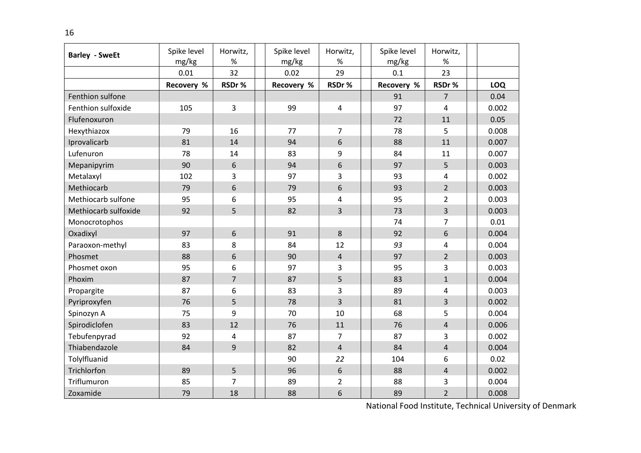| <b>Barley - SweEt</b> | Spike level<br>mg/kg | Horwitz,<br>%  | Spike level<br>mg/kg | Horwitz,<br>$\%$        | Spike level<br>mg/kg | Horwitz,<br>$\%$ |            |
|-----------------------|----------------------|----------------|----------------------|-------------------------|----------------------|------------------|------------|
|                       | 0.01                 | 32             | 0.02                 | 29                      | 0.1                  | 23               |            |
|                       | Recovery %           | RSDr%          | Recovery %           | RSDr%                   | Recovery %           | RSDr%            | <b>LOQ</b> |
| Fenthion sulfone      |                      |                |                      |                         | 91                   | $\overline{7}$   | 0.04       |
| Fenthion sulfoxide    | 105                  | 3              | 99                   | $\overline{4}$          | 97                   | 4                | 0.002      |
| Flufenoxuron          |                      |                |                      |                         | 72                   | 11               | 0.05       |
| Hexythiazox           | 79                   | 16             | 77                   | $\overline{7}$          | 78                   | 5                | 0.008      |
| Iprovalicarb          | 81                   | 14             | 94                   | 6                       | 88                   | 11               | 0.007      |
| Lufenuron             | 78                   | 14             | 83                   | 9                       | 84                   | 11               | 0.007      |
| Mepanipyrim           | 90                   | 6              | 94                   | 6                       | 97                   | 5                | 0.003      |
| Metalaxyl             | 102                  | 3              | 97                   | $\overline{3}$          | 93                   | 4                | 0.002      |
| Methiocarb            | 79                   | 6              | 79                   | 6                       | 93                   | $\overline{2}$   | 0.003      |
| Methiocarb sulfone    | 95                   | 6              | 95                   | $\overline{\mathbf{4}}$ | 95                   | $\overline{2}$   | 0.003      |
| Methiocarb sulfoxide  | 92                   | 5              | 82                   | 3                       | 73                   | $\overline{3}$   | 0.003      |
| Monocrotophos         |                      |                |                      |                         | 74                   | $\overline{7}$   | 0.01       |
| Oxadixyl              | 97                   | $6\,$          | 91                   | 8                       | 92                   | 6                | 0.004      |
| Paraoxon-methyl       | 83                   | 8              | 84                   | 12                      | 93                   | 4                | 0.004      |
| Phosmet               | 88                   | 6              | 90                   | $\overline{4}$          | 97                   | $\overline{2}$   | 0.003      |
| Phosmet oxon          | 95                   | 6              | 97                   | $\overline{3}$          | 95                   | 3                | 0.003      |
| Phoxim                | 87                   | $\overline{7}$ | 87                   | 5                       | 83                   | $\mathbf{1}$     | 0.004      |
| Propargite            | 87                   | 6              | 83                   | 3                       | 89                   | 4                | 0.003      |
| Pyriproxyfen          | 76                   | 5              | 78                   | $\overline{3}$          | 81                   | $\overline{3}$   | 0.002      |
| Spinozyn A            | 75                   | 9              | 70                   | 10                      | 68                   | 5                | 0.004      |
| Spirodiclofen         | 83                   | 12             | 76                   | 11                      | 76                   | $\overline{4}$   | 0.006      |
| Tebufenpyrad          | 92                   | 4              | 87                   | $\overline{7}$          | 87                   | 3                | 0.002      |
| Thiabendazole         | 84                   | 9              | 82                   | $\overline{4}$          | 84                   | $\overline{4}$   | 0.004      |
| Tolylfluanid          |                      |                | 90                   | 22                      | 104                  | 6                | 0.02       |
| Trichlorfon           | 89                   | 5              | 96                   | 6                       | 88                   | $\overline{4}$   | 0.002      |
| Triflumuron           | 85                   | 7              | 89                   | $\overline{2}$          | 88                   | 3                | 0.004      |
| Zoxamide              | 79                   | 18             | 88                   | 6                       | 89                   | $\overline{2}$   | 0.008      |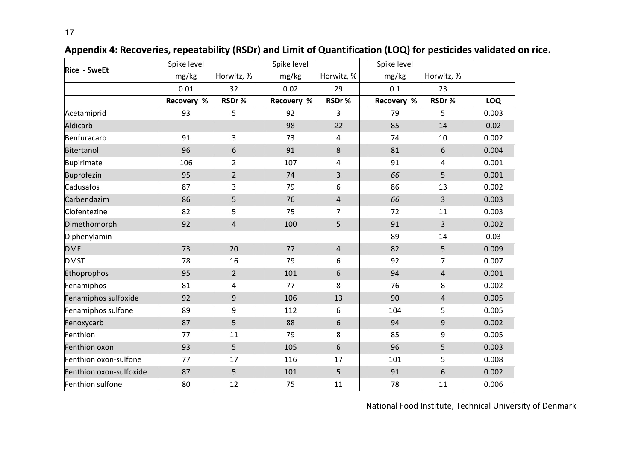| <b>Rice - SweEt</b>     | Spike level |                | Spike level |                         | Spike level |                |            |
|-------------------------|-------------|----------------|-------------|-------------------------|-------------|----------------|------------|
|                         | mg/kg       | Horwitz, %     | mg/kg       | Horwitz, %              | mg/kg       | Horwitz, %     |            |
|                         | 0.01        | 32             | 0.02        | 29                      | 0.1         | 23             |            |
|                         | Recovery %  | RSDr%          | Recovery %  | RSDr%                   | Recovery %  | RSDr%          | <b>LOQ</b> |
| Acetamiprid             | 93          | 5              | 92          | 3                       | 79          | 5              | 0.003      |
| Aldicarb                |             |                | 98          | 22                      | 85          | 14             | 0.02       |
| Benfuracarb             | 91          | 3              | 73          | 4                       | 74          | 10             | 0.002      |
| Bitertanol              | 96          | 6              | 91          | 8                       | 81          | 6              | 0.004      |
| Bupirimate              | 106         | $\overline{2}$ | 107         | 4                       | 91          | 4              | 0.001      |
| Buprofezin              | 95          | $\overline{2}$ | 74          | 3                       | 66          | 5              | 0.001      |
| Cadusafos               | 87          | 3              | 79          | 6                       | 86          | 13             | 0.002      |
| Carbendazim             | 86          | 5              | 76          | $\overline{\mathbf{r}}$ | 66          | 3              | 0.003      |
| Clofentezine            | 82          | 5              | 75          | 7                       | 72          | 11             | 0.003      |
| Dimethomorph            | 92          | $\overline{4}$ | 100         | 5                       | 91          | 3              | 0.002      |
| Diphenylamin            |             |                |             |                         | 89          | 14             | 0.03       |
| <b>DMF</b>              | 73          | 20             | 77          | $\overline{4}$          | 82          | 5              | 0.009      |
| <b>DMST</b>             | 78          | 16             | 79          | 6                       | 92          | 7              | 0.007      |
| Ethoprophos             | 95          | $\overline{2}$ | 101         | 6                       | 94          | $\overline{4}$ | 0.001      |
| Fenamiphos              | 81          | 4              | 77          | 8                       | 76          | 8              | 0.002      |
| Fenamiphos sulfoxide    | 92          | $\mathsf 9$    | 106         | 13                      | 90          | $\overline{4}$ | 0.005      |
| Fenamiphos sulfone      | 89          | 9              | 112         | 6                       | 104         | 5              | 0.005      |
| Fenoxycarb              | 87          | 5              | 88          | 6                       | 94          | 9              | 0.002      |
| Fenthion                | 77          | 11             | 79          | 8                       | 85          | 9              | 0.005      |
| Fenthion oxon           | 93          | 5              | 105         | 6                       | 96          | 5              | 0.003      |
| Fenthion oxon-sulfone   | 77          | 17             | 116         | 17                      | 101         | 5              | 0.008      |
| Fenthion oxon-sulfoxide | 87          | 5              | 101         | 5                       | 91          | 6              | 0.002      |
| Fenthion sulfone        | 80          | 12             | 75          | 11                      | 78          | 11             | 0.006      |

# **Appendix 4: Recoveries, repeatability (RSDr) and Limit of Quantification (LOQ) for pesticides validated on rice.**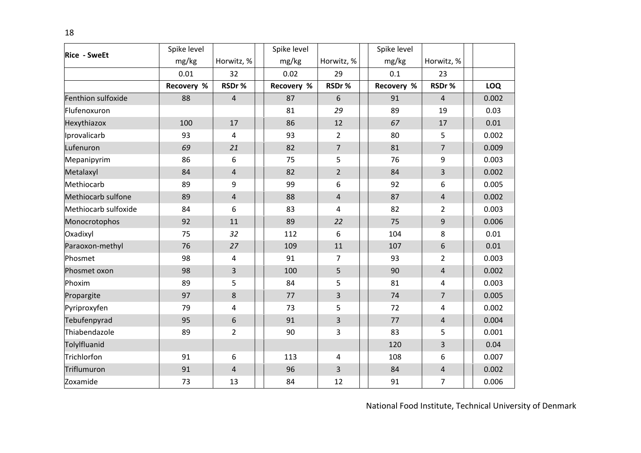| <b>Rice - SweEt</b>  | Spike level |                  | Spike level |                | Spike level |                         |            |
|----------------------|-------------|------------------|-------------|----------------|-------------|-------------------------|------------|
|                      | mg/kg       | Horwitz, %       | mg/kg       | Horwitz, %     | mg/kg       | Horwitz, %              |            |
|                      | 0.01        | 32               | 0.02        | 29             | 0.1         | 23                      |            |
|                      | Recovery %  | RSDr%            | Recovery %  | RSDr%          | Recovery %  | RSDr%                   | <b>LOQ</b> |
| Fenthion sulfoxide   | 88          | $\overline{4}$   | 87          | 6              | 91          | $\overline{4}$          | 0.002      |
| Flufenoxuron         |             |                  | 81          | 29             | 89          | 19                      | 0.03       |
| Hexythiazox          | 100         | 17               | 86          | 12             | 67          | 17                      | 0.01       |
| Iprovalicarb         | 93          | $\overline{4}$   | 93          | $\overline{2}$ | 80          | 5                       | 0.002      |
| Lufenuron            | 69          | 21               | 82          | $\overline{7}$ | 81          | $\overline{7}$          | 0.009      |
| Mepanipyrim          | 86          | 6                | 75          | 5              | 76          | 9                       | 0.003      |
| Metalaxyl            | 84          | $\overline{4}$   | 82          | $\overline{2}$ | 84          | $\overline{3}$          | 0.002      |
| Methiocarb           | 89          | 9                | 99          | 6              | 92          | 6                       | 0.005      |
| Methiocarb sulfone   | 89          | $\sqrt{4}$       | 88          | $\overline{4}$ | 87          | $\overline{4}$          | 0.002      |
| Methiocarb sulfoxide | 84          | 6                | 83          | 4              | 82          | $\overline{2}$          | 0.003      |
| Monocrotophos        | 92          | 11               | 89          | 22             | 75          | 9                       | 0.006      |
| Oxadixyl             | 75          | 32               | 112         | 6              | 104         | 8                       | 0.01       |
| Paraoxon-methyl      | 76          | 27               | 109         | 11             | 107         | 6                       | 0.01       |
| Phosmet              | 98          | 4                | 91          | $\overline{7}$ | 93          | $\overline{2}$          | 0.003      |
| Phosmet oxon         | 98          | 3                | 100         | 5              | 90          | $\overline{4}$          | 0.002      |
| Phoxim               | 89          | 5                | 84          | 5              | 81          | $\overline{\mathbf{4}}$ | 0.003      |
| Propargite           | 97          | 8                | 77          | 3              | 74          | $\overline{7}$          | 0.005      |
| Pyriproxyfen         | 79          | 4                | 73          | 5              | 72          | 4                       | 0.002      |
| Tebufenpyrad         | 95          | $\boldsymbol{6}$ | 91          | 3              | 77          | $\overline{4}$          | 0.004      |
| Thiabendazole        | 89          | $\overline{2}$   | 90          | 3              | 83          | 5                       | 0.001      |
| Tolylfluanid         |             |                  |             |                | 120         | $\overline{3}$          | 0.04       |
| Trichlorfon          | 91          | 6                | 113         | $\overline{4}$ | 108         | 6                       | 0.007      |
| Triflumuron          | 91          | $\sqrt{4}$       | 96          | 3              | 84          | $\overline{4}$          | 0.002      |
| Zoxamide             | 73          | 13               | 84          | 12             | 91          | $\overline{7}$          | 0.006      |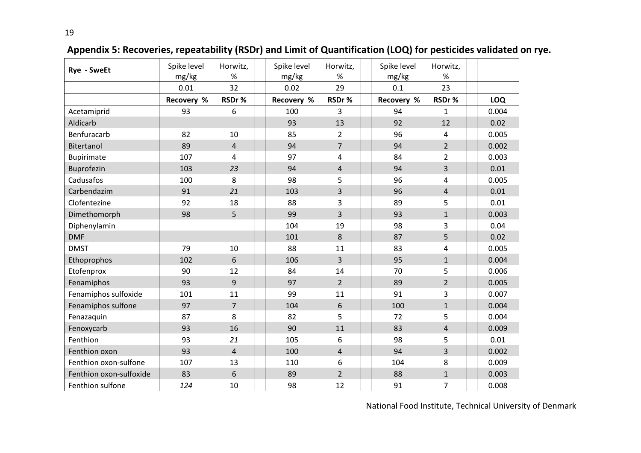| Rye - SweEt             | Spike level<br>mg/kg | Horwitz,<br>$\%$ | Spike level<br>mg/kg | Horwitz,<br>$\%$ | Spike level<br>mg/kg | Horwitz,<br>$\%$ |            |
|-------------------------|----------------------|------------------|----------------------|------------------|----------------------|------------------|------------|
|                         | 0.01                 | 32               | 0.02                 | 29               | 0.1                  | 23               |            |
|                         | Recovery %           | RSDr%            | Recovery %           | RSDr%            | Recovery %           | RSDr%            | <b>LOQ</b> |
| Acetamiprid             | 93                   | 6                | 100                  | 3                | 94                   | $\mathbf{1}$     | 0.004      |
| Aldicarb                |                      |                  | 93                   | 13               | 92                   | 12               | 0.02       |
| Benfuracarb             | 82                   | 10               | 85                   | $\overline{2}$   | 96                   | 4                | 0.005      |
| Bitertanol              | 89                   | $\overline{4}$   | 94                   | $\overline{7}$   | 94                   | $\overline{2}$   | 0.002      |
| <b>Bupirimate</b>       | 107                  | 4                | 97                   | 4                | 84                   | $\overline{2}$   | 0.003      |
| Buprofezin              | 103                  | 23               | 94                   | $\overline{4}$   | 94                   | $\overline{3}$   | 0.01       |
| Cadusafos               | 100                  | 8                | 98                   | 5                | 96                   | 4                | 0.005      |
| Carbendazim             | 91                   | 21               | 103                  | $\overline{3}$   | 96                   | $\overline{4}$   | 0.01       |
| Clofentezine            | 92                   | 18               | 88                   | 3                | 89                   | 5                | 0.01       |
| Dimethomorph            | 98                   | 5                | 99                   | $\overline{3}$   | 93                   | $\mathbf{1}$     | 0.003      |
| Diphenylamin            |                      |                  | 104                  | 19               | 98                   | 3                | 0.04       |
| <b>DMF</b>              |                      |                  | 101                  | 8                | 87                   | 5                | 0.02       |
| <b>DMST</b>             | 79                   | 10               | 88                   | 11               | 83                   | 4                | 0.005      |
| Ethoprophos             | 102                  | 6                | 106                  | $\overline{3}$   | 95                   | $\mathbf{1}$     | 0.004      |
| Etofenprox              | 90                   | 12               | 84                   | 14               | 70                   | 5                | 0.006      |
| Fenamiphos              | 93                   | 9                | 97                   | $\overline{2}$   | 89                   | $\overline{2}$   | 0.005      |
| Fenamiphos sulfoxide    | 101                  | 11               | 99                   | 11               | 91                   | 3                | 0.007      |
| Fenamiphos sulfone      | 97                   | $\overline{7}$   | 104                  | 6                | 100                  | $\mathbf{1}$     | 0.004      |
| Fenazaquin              | 87                   | 8                | 82                   | 5                | 72                   | 5                | 0.004      |
| Fenoxycarb              | 93                   | 16               | 90                   | 11               | 83                   | $\overline{4}$   | 0.009      |
| Fenthion                | 93                   | 21               | 105                  | 6                | 98                   | 5                | 0.01       |
| Fenthion oxon           | 93                   | $\overline{4}$   | 100                  | $\overline{4}$   | 94                   | 3                | 0.002      |
| Fenthion oxon-sulfone   | 107                  | 13               | 110                  | 6                | 104                  | 8                | 0.009      |
| Fenthion oxon-sulfoxide | 83                   | 6                | 89                   | $\overline{2}$   | 88                   | $\mathbf{1}$     | 0.003      |
| Fenthion sulfone        | 124                  | 10               | 98                   | 12               | 91                   | $\overline{7}$   | 0.008      |

**Appendix 5: Recoveries, repeatability (RSDr) and Limit of Quantification (LOQ) for pesticides validated on rye.**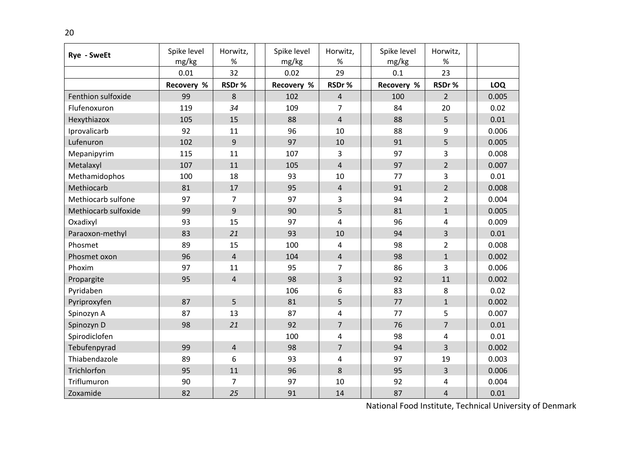| <b>Rye - SweEt</b>   | Spike level<br>mg/kg | Horwitz,<br>$\%$ | Spike level<br>mg/kg | Horwitz,<br>$\%$        | Spike level<br>mg/kg | Horwitz,<br>$\%$ |            |
|----------------------|----------------------|------------------|----------------------|-------------------------|----------------------|------------------|------------|
|                      | 0.01                 | 32               | 0.02                 | 29                      | 0.1                  | 23               |            |
|                      | Recovery %           | RSDr%            | Recovery %           | RSDr%                   | Recovery %           | RSDr%            | <b>LOQ</b> |
| Fenthion sulfoxide   | 99                   | 8                | 102                  | $\overline{4}$          | 100                  | $\overline{2}$   | 0.005      |
| Flufenoxuron         | 119                  | 34               | 109                  | $\overline{7}$          | 84                   | 20               | 0.02       |
| Hexythiazox          | 105                  | 15               | 88                   | $\overline{4}$          | 88                   | 5                | 0.01       |
| Iprovalicarb         | 92                   | 11               | 96                   | 10                      | 88                   | 9                | 0.006      |
| Lufenuron            | 102                  | 9                | 97                   | 10                      | 91                   | 5                | 0.005      |
| Mepanipyrim          | 115                  | 11               | 107                  | $\overline{3}$          | 97                   | 3                | 0.008      |
| Metalaxyl            | 107                  | 11               | 105                  | $\overline{4}$          | 97                   | $2^{\circ}$      | 0.007      |
| Methamidophos        | 100                  | 18               | 93                   | 10                      | 77                   | 3                | 0.01       |
| Methiocarb           | 81                   | 17               | 95                   | $\overline{4}$          | 91                   | $\overline{2}$   | 0.008      |
| Methiocarb sulfone   | 97                   | $\overline{7}$   | 97                   | $\overline{3}$          | 94                   | $\overline{2}$   | 0.004      |
| Methiocarb sulfoxide | 99                   | 9                | 90                   | 5                       | 81                   | $\mathbf{1}$     | 0.005      |
| Oxadixyl             | 93                   | 15               | 97                   | $\overline{4}$          | 96                   | 4                | 0.009      |
| Paraoxon-methyl      | 83                   | 21               | 93                   | 10                      | 94                   | $\overline{3}$   | 0.01       |
| Phosmet              | 89                   | 15               | 100                  | $\overline{4}$          | 98                   | $\overline{2}$   | 0.008      |
| Phosmet oxon         | 96                   | $\overline{4}$   | 104                  | $\overline{4}$          | 98                   | $\mathbf{1}$     | 0.002      |
| Phoxim               | 97                   | 11               | 95                   | $\overline{7}$          | 86                   | 3                | 0.006      |
| Propargite           | 95                   | $\overline{4}$   | 98                   | $\overline{3}$          | 92                   | 11               | 0.002      |
| Pyridaben            |                      |                  | 106                  | 6                       | 83                   | 8                | 0.02       |
| Pyriproxyfen         | 87                   | 5                | 81                   | 5                       | 77                   | $\mathbf{1}$     | 0.002      |
| Spinozyn A           | 87                   | 13               | 87                   | $\overline{\mathbf{4}}$ | 77                   | 5                | 0.007      |
| Spinozyn D           | 98                   | 21               | 92                   | $\overline{7}$          | 76                   | $\overline{7}$   | 0.01       |
| Spirodiclofen        |                      |                  | 100                  | 4                       | 98                   | 4                | 0.01       |
| Tebufenpyrad         | 99                   | $\overline{4}$   | 98                   | $\overline{7}$          | 94                   | $\overline{3}$   | 0.002      |
| Thiabendazole        | 89                   | 6                | 93                   | $\overline{\mathbf{4}}$ | 97                   | 19               | 0.003      |
| Trichlorfon          | 95                   | 11               | 96                   | 8                       | 95                   | 3                | 0.006      |
| Triflumuron          | 90                   | 7                | 97                   | 10                      | 92                   | 4                | 0.004      |
| Zoxamide             | 82                   | 25               | 91                   | 14                      | 87                   | $\overline{4}$   | 0.01       |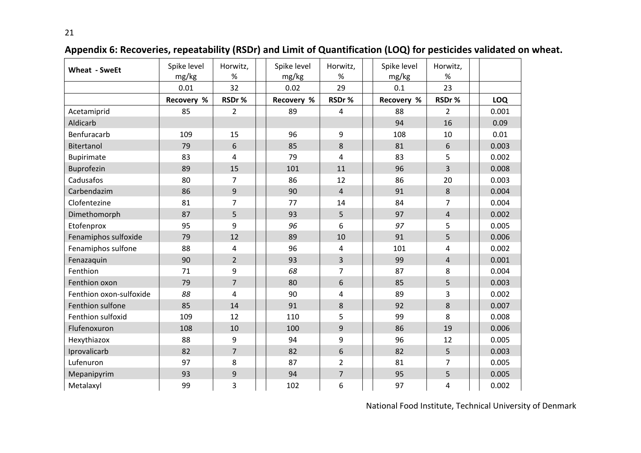| <b>Wheat - SweEt</b>    | Spike level<br>mg/kg | Horwitz,<br>$\%$ | Spike level<br>mg/kg | Horwitz,<br>$\%$ | Spike level<br>mg/kg | Horwitz,<br>%  |            |
|-------------------------|----------------------|------------------|----------------------|------------------|----------------------|----------------|------------|
|                         | 0.01                 | 32               | 0.02                 | 29               | 0.1                  | 23             |            |
|                         | Recovery %           | RSDr%            | Recovery %           | RSDr%            | Recovery %           | RSDr%          | <b>LOQ</b> |
| Acetamiprid             | 85                   | $\overline{2}$   | 89                   | 4                | 88                   | $2^{\circ}$    | 0.001      |
| Aldicarb                |                      |                  |                      |                  | 94                   | 16             | 0.09       |
| Benfuracarb             | 109                  | 15               | 96                   | 9                | 108                  | 10             | 0.01       |
| Bitertanol              | 79                   | 6                | 85                   | $8\phantom{1}$   | 81                   | 6              | 0.003      |
| Bupirimate              | 83                   | $\overline{4}$   | 79                   | $\overline{4}$   | 83                   | 5              | 0.002      |
| Buprofezin              | 89                   | 15               | 101                  | 11               | 96                   | $\overline{3}$ | 0.008      |
| Cadusafos               | 80                   | 7                | 86                   | 12               | 86                   | 20             | 0.003      |
| Carbendazim             | 86                   | 9                | 90                   | $\overline{4}$   | 91                   | 8              | 0.004      |
| Clofentezine            | 81                   | $\overline{7}$   | 77                   | 14               | 84                   | $\overline{7}$ | 0.004      |
| Dimethomorph            | 87                   | 5                | 93                   | 5                | 97                   | $\overline{4}$ | 0.002      |
| Etofenprox              | 95                   | 9                | 96                   | 6                | 97                   | 5              | 0.005      |
| Fenamiphos sulfoxide    | 79                   | 12               | 89                   | 10               | 91                   | 5              | 0.006      |
| Fenamiphos sulfone      | 88                   | 4                | 96                   | 4                | 101                  | 4              | 0.002      |
| Fenazaquin              | 90                   | $\overline{2}$   | 93                   | $\overline{3}$   | 99                   | $\overline{4}$ | 0.001      |
| Fenthion                | 71                   | 9                | 68                   | $\overline{7}$   | 87                   | 8              | 0.004      |
| Fenthion oxon           | 79                   | $\overline{7}$   | 80                   | 6                | 85                   | 5              | 0.003      |
| Fenthion oxon-sulfoxide | 88                   | 4                | 90                   | $\overline{4}$   | 89                   | 3              | 0.002      |
| Fenthion sulfone        | 85                   | 14               | 91                   | 8                | 92                   | 8              | 0.007      |
| Fenthion sulfoxid       | 109                  | 12               | 110                  | 5                | 99                   | 8              | 0.008      |
| Flufenoxuron            | 108                  | 10               | 100                  | $\overline{9}$   | 86                   | 19             | 0.006      |
| Hexythiazox             | 88                   | 9                | 94                   | 9                | 96                   | 12             | 0.005      |
| Iprovalicarb            | 82                   | $\overline{7}$   | 82                   | 6                | 82                   | 5              | 0.003      |
| Lufenuron               | 97                   | 8                | 87                   | $\overline{2}$   | 81                   | 7              | 0.005      |
| Mepanipyrim             | 93                   | 9                | 94                   | $\overline{7}$   | 95                   | 5              | 0.005      |
| Metalaxyl               | 99                   | 3                | 102                  | 6                | 97                   | 4              | 0.002      |

**Appendix 6: Recoveries, repeatability (RSDr) and Limit of Quantification (LOQ) for pesticides validated on wheat.**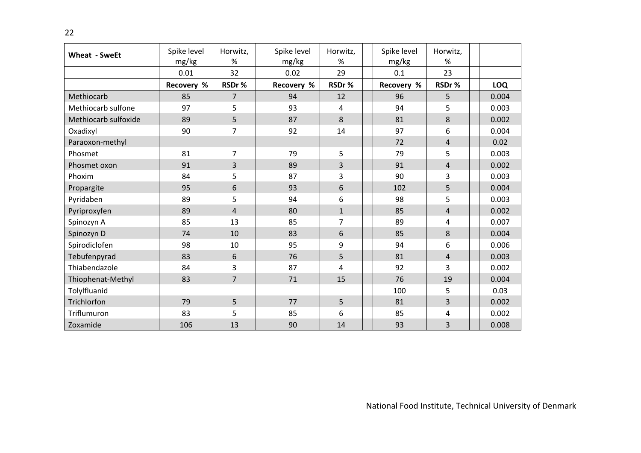| Wheat - SweEt        | Spike level<br>mg/kg | Horwitz,<br>$\%$ | Spike level<br>mg/kg | Horwitz,<br>%  | Spike level<br>mg/kg | Horwitz,<br>%  |            |
|----------------------|----------------------|------------------|----------------------|----------------|----------------------|----------------|------------|
|                      | 0.01                 | 32               | 0.02                 | 29             | 0.1                  | 23             |            |
|                      | Recovery %           | RSDr%            | Recovery %           | RSDr%          | Recovery %           | RSDr%          | <b>LOQ</b> |
| Methiocarb           | 85                   | $\overline{7}$   | 94                   | 12             | 96                   | 5              | 0.004      |
| Methiocarb sulfone   | 97                   | 5                | 93                   | 4              | 94                   | 5              | 0.003      |
| Methiocarb sulfoxide | 89                   | 5                | 87                   | 8              | 81                   | 8              | 0.002      |
| Oxadixyl             | 90                   | $\overline{7}$   | 92                   | 14             | 97                   | 6              | 0.004      |
| Paraoxon-methyl      |                      |                  |                      |                | 72                   | $\overline{4}$ | 0.02       |
| Phosmet              | 81                   | $\overline{7}$   | 79                   | 5              | 79                   | 5              | 0.003      |
| Phosmet oxon         | 91                   | $\overline{3}$   | 89                   | 3              | 91                   | $\overline{4}$ | 0.002      |
| Phoxim               | 84                   | 5                | 87                   | 3              | 90                   | $\overline{3}$ | 0.003      |
| Propargite           | 95                   | 6                | 93                   | 6              | 102                  | 5              | 0.004      |
| Pyridaben            | 89                   | 5                | 94                   | 6              | 98                   | 5              | 0.003      |
| Pyriproxyfen         | 89                   | $\overline{4}$   | 80                   | $\mathbf{1}$   | 85                   | $\overline{4}$ | 0.002      |
| Spinozyn A           | 85                   | 13               | 85                   | $\overline{7}$ | 89                   | 4              | 0.007      |
| Spinozyn D           | 74                   | 10               | 83                   | 6              | 85                   | 8              | 0.004      |
| Spirodiclofen        | 98                   | 10               | 95                   | 9              | 94                   | 6              | 0.006      |
| Tebufenpyrad         | 83                   | 6                | 76                   | 5              | 81                   | $\overline{4}$ | 0.003      |
| Thiabendazole        | 84                   | 3                | 87                   | 4              | 92                   | 3              | 0.002      |
| Thiophenat-Methyl    | 83                   | $\overline{7}$   | 71                   | 15             | 76                   | 19             | 0.004      |
| Tolylfluanid         |                      |                  |                      |                | 100                  | 5              | 0.03       |
| Trichlorfon          | 79                   | 5                | 77                   | 5              | 81                   | 3              | 0.002      |
| Triflumuron          | 83                   | 5                | 85                   | 6              | 85                   | 4              | 0.002      |
| Zoxamide             | 106                  | 13               | 90                   | 14             | 93                   | 3              | 0.008      |